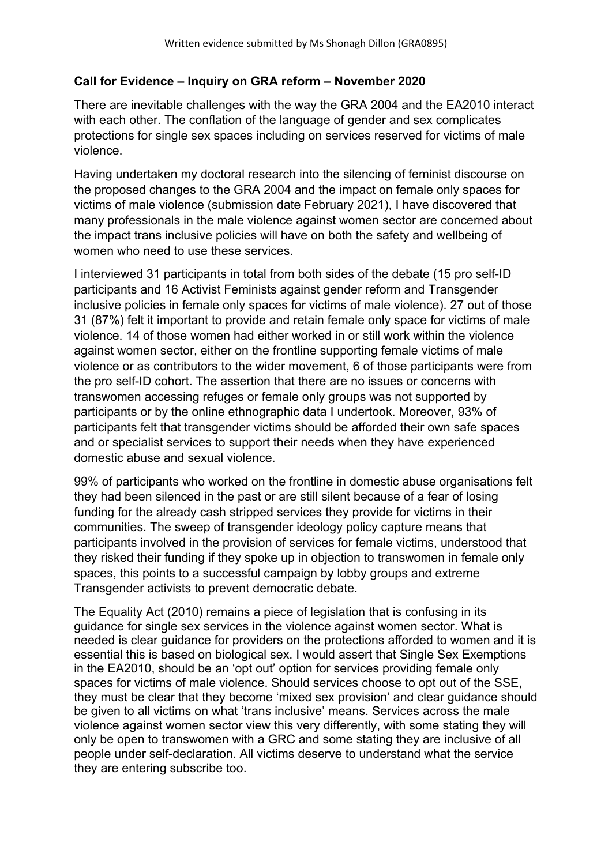## **Call for Evidence – Inquiry on GRA reform – November 2020**

There are inevitable challenges with the way the GRA 2004 and the EA2010 interact with each other. The conflation of the language of gender and sex complicates protections for single sex spaces including on services reserved for victims of male violence.

Having undertaken my doctoral research into the silencing of feminist discourse on the proposed changes to the GRA 2004 and the impact on female only spaces for victims of male violence (submission date February 2021), I have discovered that many professionals in the male violence against women sector are concerned about the impact trans inclusive policies will have on both the safety and wellbeing of women who need to use these services.

I interviewed 31 participants in total from both sides of the debate (15 pro self-ID participants and 16 Activist Feminists against gender reform and Transgender inclusive policies in female only spaces for victims of male violence). 27 out of those 31 (87%) felt it important to provide and retain female only space for victims of male violence. 14 of those women had either worked in or still work within the violence against women sector, either on the frontline supporting female victims of male violence or as contributors to the wider movement, 6 of those participants were from the pro self-ID cohort. The assertion that there are no issues or concerns with transwomen accessing refuges or female only groups was not supported by participants or by the online ethnographic data I undertook. Moreover, 93% of participants felt that transgender victims should be afforded their own safe spaces and or specialist services to support their needs when they have experienced domestic abuse and sexual violence.

99% of participants who worked on the frontline in domestic abuse organisations felt they had been silenced in the past or are still silent because of a fear of losing funding for the already cash stripped services they provide for victims in their communities. The sweep of transgender ideology policy capture means that participants involved in the provision of services for female victims, understood that they risked their funding if they spoke up in objection to transwomen in female only spaces, this points to a successful campaign by lobby groups and extreme Transgender activists to prevent democratic debate.

The Equality Act (2010) remains a piece of legislation that is confusing in its guidance for single sex services in the violence against women sector. What is needed is clear guidance for providers on the protections afforded to women and it is essential this is based on biological sex. I would assert that Single Sex Exemptions in the EA2010, should be an 'opt out' option for services providing female only spaces for victims of male violence. Should services choose to opt out of the SSE, they must be clear that they become 'mixed sex provision' and clear guidance should be given to all victims on what 'trans inclusive' means. Services across the male violence against women sector view this very differently, with some stating they will only be open to transwomen with a GRC and some stating they are inclusive of all people under self-declaration. All victims deserve to understand what the service they are entering subscribe too.